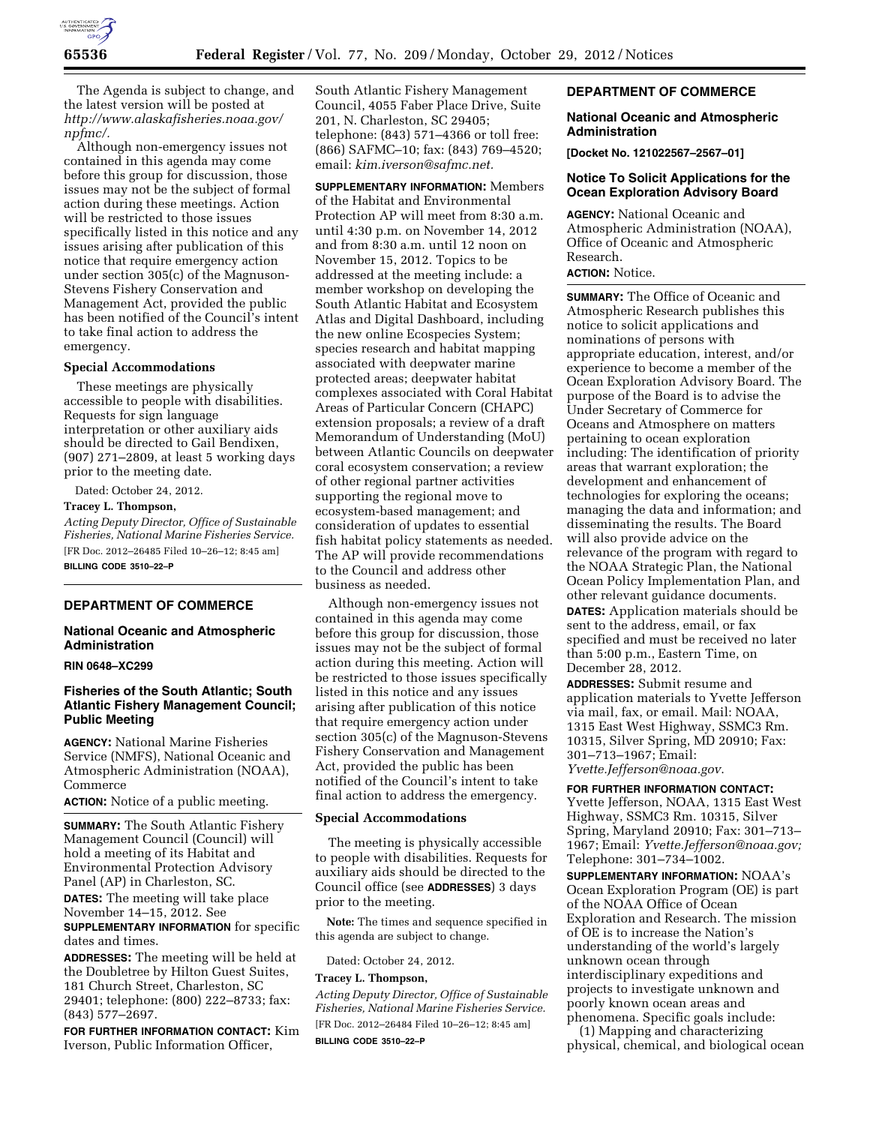

The Agenda is subject to change, and the latest version will be posted at *[http://www.alaskafisheries.noaa.gov/](http://www.alaskafisheries.noaa.gov/npfmc/) [npfmc/.](http://www.alaskafisheries.noaa.gov/npfmc/)* 

Although non-emergency issues not contained in this agenda may come before this group for discussion, those issues may not be the subject of formal action during these meetings. Action will be restricted to those issues specifically listed in this notice and any issues arising after publication of this notice that require emergency action under section 305(c) of the Magnuson-Stevens Fishery Conservation and Management Act, provided the public has been notified of the Council's intent to take final action to address the emergency.

#### **Special Accommodations**

These meetings are physically accessible to people with disabilities. Requests for sign language interpretation or other auxiliary aids should be directed to Gail Bendixen, (907) 271–2809, at least 5 working days prior to the meeting date.

Dated: October 24, 2012.

# **Tracey L. Thompson,**

*Acting Deputy Director, Office of Sustainable Fisheries, National Marine Fisheries Service.*  [FR Doc. 2012–26485 Filed 10–26–12; 8:45 am] **BILLING CODE 3510–22–P** 

## **DEPARTMENT OF COMMERCE**

# **National Oceanic and Atmospheric Administration**

# **RIN 0648–XC299**

# **Fisheries of the South Atlantic; South Atlantic Fishery Management Council; Public Meeting**

**AGENCY:** National Marine Fisheries Service (NMFS), National Oceanic and Atmospheric Administration (NOAA), Commerce

**ACTION:** Notice of a public meeting.

**SUMMARY:** The South Atlantic Fishery Management Council (Council) will hold a meeting of its Habitat and Environmental Protection Advisory Panel (AP) in Charleston, SC.

**DATES:** The meeting will take place November 14–15, 2012. See

**SUPPLEMENTARY INFORMATION** for specific dates and times.

**ADDRESSES:** The meeting will be held at the Doubletree by Hilton Guest Suites, 181 Church Street, Charleston, SC 29401; telephone: (800) 222–8733; fax: (843) 577–2697.

**FOR FURTHER INFORMATION CONTACT:** Kim Iverson, Public Information Officer,

South Atlantic Fishery Management Council, 4055 Faber Place Drive, Suite 201, N. Charleston, SC 29405; telephone: (843) 571–4366 or toll free: (866) SAFMC–10; fax: (843) 769–4520; email: *[kim.iverson@safmc.net.](mailto:kim.iverson@safmc.net)* 

**SUPPLEMENTARY INFORMATION:** Members of the Habitat and Environmental Protection AP will meet from 8:30 a.m. until 4:30 p.m. on November 14, 2012 and from 8:30 a.m. until 12 noon on November 15, 2012. Topics to be addressed at the meeting include: a member workshop on developing the South Atlantic Habitat and Ecosystem Atlas and Digital Dashboard, including the new online Ecospecies System; species research and habitat mapping associated with deepwater marine protected areas; deepwater habitat complexes associated with Coral Habitat Areas of Particular Concern (CHAPC) extension proposals; a review of a draft Memorandum of Understanding (MoU) between Atlantic Councils on deepwater coral ecosystem conservation; a review of other regional partner activities supporting the regional move to ecosystem-based management; and consideration of updates to essential fish habitat policy statements as needed. The AP will provide recommendations to the Council and address other business as needed.

Although non-emergency issues not contained in this agenda may come before this group for discussion, those issues may not be the subject of formal action during this meeting. Action will be restricted to those issues specifically listed in this notice and any issues arising after publication of this notice that require emergency action under section 305(c) of the Magnuson-Stevens Fishery Conservation and Management Act, provided the public has been notified of the Council's intent to take final action to address the emergency.

# **Special Accommodations**

The meeting is physically accessible to people with disabilities. Requests for auxiliary aids should be directed to the Council office (see **ADDRESSES**) 3 days prior to the meeting.

**Note:** The times and sequence specified in this agenda are subject to change.

Dated: October 24, 2012.

# **Tracey L. Thompson,**

*Acting Deputy Director, Office of Sustainable Fisheries, National Marine Fisheries Service.*  [FR Doc. 2012–26484 Filed 10–26–12; 8:45 am] **BILLING CODE 3510–22–P** 

# **DEPARTMENT OF COMMERCE**

## **National Oceanic and Atmospheric Administration**

**[Docket No. 121022567–2567–01]** 

# **Notice To Solicit Applications for the Ocean Exploration Advisory Board**

**AGENCY:** National Oceanic and Atmospheric Administration (NOAA), Office of Oceanic and Atmospheric Research. **ACTION:** Notice.

**SUMMARY:** The Office of Oceanic and Atmospheric Research publishes this notice to solicit applications and nominations of persons with appropriate education, interest, and/or experience to become a member of the Ocean Exploration Advisory Board. The purpose of the Board is to advise the Under Secretary of Commerce for Oceans and Atmosphere on matters pertaining to ocean exploration including: The identification of priority areas that warrant exploration; the development and enhancement of technologies for exploring the oceans; managing the data and information; and disseminating the results. The Board will also provide advice on the relevance of the program with regard to the NOAA Strategic Plan, the National Ocean Policy Implementation Plan, and other relevant guidance documents. **DATES:** Application materials should be sent to the address, email, or fax specified and must be received no later than 5:00 p.m., Eastern Time, on December 28, 2012.

**ADDRESSES:** Submit resume and application materials to Yvette Jefferson via mail, fax, or email. Mail: NOAA, 1315 East West Highway, SSMC3 Rm. 10315, Silver Spring, MD 20910; Fax: 301–713–1967; Email: *[Yvette.Jefferson@noaa.gov](mailto:Yvette.Jefferson@noaa.gov)*.

**FOR FURTHER INFORMATION CONTACT:**  Yvette Jefferson, NOAA, 1315 East West Highway, SSMC3 Rm. 10315, Silver Spring, Maryland 20910; Fax: 301–713– 1967; Email: *[Yvette.Jefferson@noaa.gov;](mailto:Yvette.Jefferson@noaa.gov)*  Telephone: 301–734–1002.

**SUPPLEMENTARY INFORMATION:** NOAA's Ocean Exploration Program (OE) is part of the NOAA Office of Ocean Exploration and Research. The mission of OE is to increase the Nation's understanding of the world's largely unknown ocean through interdisciplinary expeditions and projects to investigate unknown and poorly known ocean areas and phenomena. Specific goals include:

(1) Mapping and characterizing physical, chemical, and biological ocean